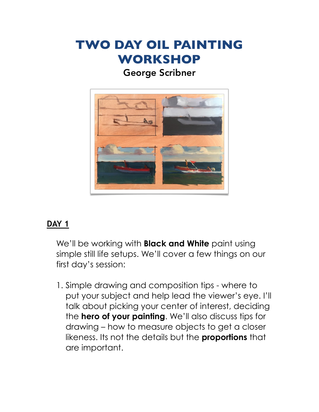# **TWO DAY OIL PAINTING WORKSHOP**

### George Scribner



### **DAY 1**

We'll be working with **Black and White** paint using simple still life setups. We'll cover a few things on our first day's session:

1. Simple drawing and composition tips - where to put your subject and help lead the viewer's eye. I'll talk about picking your center of interest, deciding the **hero of your painting**. We'll also discuss tips for drawing – how to measure objects to get a closer likeness. Its not the details but the **proportions** that are important.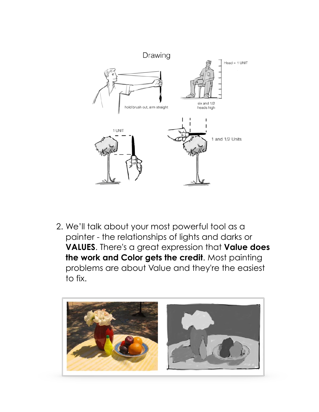

2. We'll talk about your most powerful tool as a painter - the relationships of lights and darks or **VALUES**. There's a great expression that **Value does the work and Color gets the credit**. Most painting problems are about Value and they're the easiest to fix.

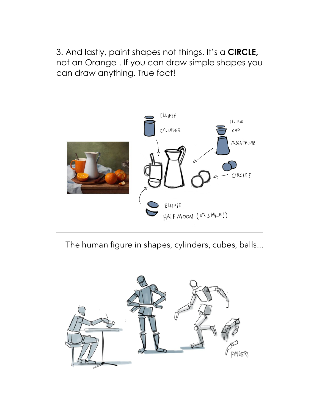3. And lastly, paint shapes not things. It's a **CIRCLE,**  not an Orange . If you can draw simple shapes you can draw anything. True fact!



The human figure in shapes, cylinders, cubes, balls...

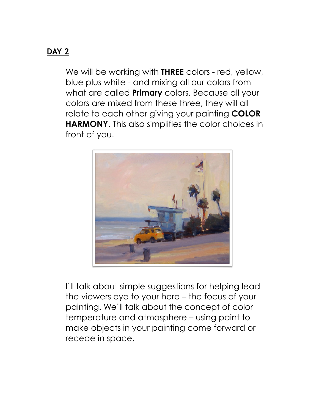#### **DAY 2**

We will be working with **THREE** colors - red, yellow, blue plus white - and mixing all our colors from what are called **Primary** colors. Because all your colors are mixed from these three, they will all relate to each other giving your painting **COLOR HARMONY**. This also simplifies the color choices in front of you.



I'll talk about simple suggestions for helping lead the viewers eye to your hero – the focus of your painting. We'll talk about the concept of color temperature and atmosphere – using paint to make objects in your painting come forward or recede in space.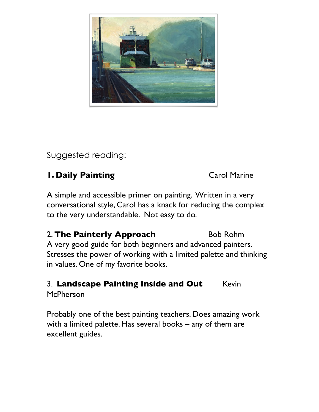

Suggested reading:

#### **1. Daily Painting** Carol Marine

A simple and accessible primer on painting. Written in a very conversational style, Carol has a knack for reducing the complex to the very understandable. Not easy to do.

2. The Painterly Approach Bob Rohm A very good guide for both beginners and advanced painters. Stresses the power of working with a limited palette and thinking in values. One of my favorite books.

## 3. Landscape Painting Inside and Out Kevin

McPherson

Probably one of the best painting teachers. Does amazing work with a limited palette. Has several books – any of them are excellent guides.